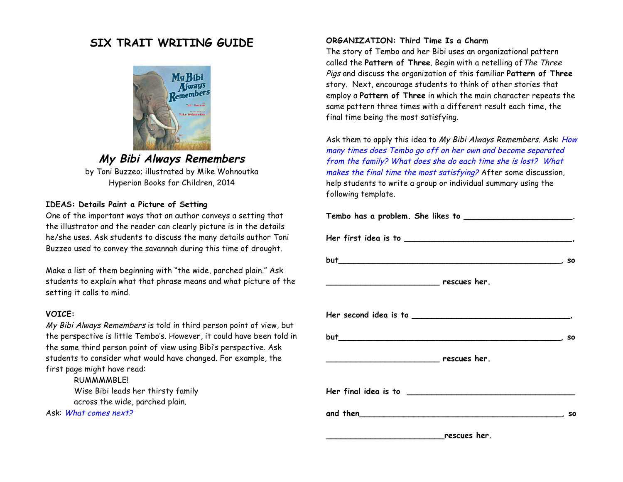# **SIX TRAIT WRITING GUIDE**



## **My Bibi Always Remembers**

by Toni Buzzeo; illustrated by Mike Wohnoutka Hyperion Books for Children, 2014

### **IDEAS: Details Paint a Picture of Setting**

One of the important ways that an author conveys a setting that the illustrator and the reader can clearly picture is in the details he/she uses. Ask students to discuss the many details author Toni Buzzeo used to convey the savannah during this time of drought.

Make a list of them beginning with "the wide, parched plain." Ask students to explain what that phrase means and what picture of the setting it calls to mind.

#### **VOICE:**

My Bibi Always Remembers is told in third person point of view, but the perspective is little Tembo's. However, it could have been told in the same third person point of view using Bibi's perspective. Ask students to consider what would have changed. For example, the first page might have read:

RUMMMMBLE! Wise Bibi leads her thirsty family across the wide, parched plain.

Ask: What comes next?

#### **ORGANIZATION: Third Time Is a Charm**

The story of Tembo and her Bibi uses an organizational pattern called the **Pattern of Three**. Begin with a retelling of The Three Pigs and discuss the organization of this familiar **Pattern of Three** story. Next, encourage students to think of other stories that employ a **Pattern of Three** in which the main character repeats the same pattern three times with a different result each time, the final time being the most satisfying.

Ask them to apply this idea to My Bibi Always Remembers. Ask: How many times does Tembo go off on her own and become separated from the family? What does she do each time she is lost? What makes the final time the most satisfying? After some discussion, help students to write a group or individual summary using the following template.

| Tembo has a problem. She likes to __________________________. |  |
|---------------------------------------------------------------|--|
|                                                               |  |
|                                                               |  |
| ______________________________ rescues her.                   |  |
|                                                               |  |
|                                                               |  |
| <u>rescues her.</u>                                           |  |
|                                                               |  |
|                                                               |  |

**\_\_\_\_\_\_\_\_\_\_\_\_\_\_\_\_\_\_\_\_\_\_\_\_rescues her.**